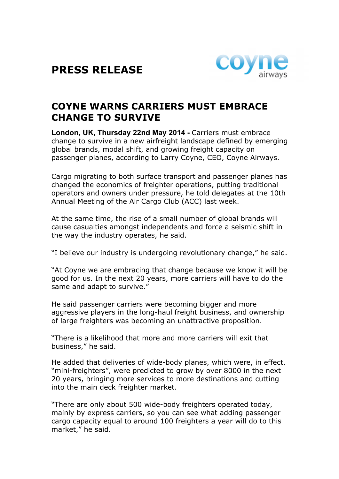**PRESS RELEASE**



## **COYNE WARNS CARRIERS MUST EMBRACE CHANGE TO SURVIVE**

**London, UK, Thursday 22nd May 2014 -** Carriers must embrace change to survive in a new airfreight landscape defined by emerging global brands, modal shift, and growing freight capacity on passenger planes, according to Larry Coyne, CEO, Coyne Airways.

Cargo migrating to both surface transport and passenger planes has changed the economics of freighter operations, putting traditional operators and owners under pressure, he told delegates at the 10th Annual Meeting of the Air Cargo Club (ACC) last week.

At the same time, the rise of a small number of global brands will cause casualties amongst independents and force a seismic shift in the way the industry operates, he said.

"I believe our industry is undergoing revolutionary change," he said.

"At Coyne we are embracing that change because we know it will be good for us. In the next 20 years, more carriers will have to do the same and adapt to survive."

He said passenger carriers were becoming bigger and more aggressive players in the long-haul freight business, and ownership of large freighters was becoming an unattractive proposition.

"There is a likelihood that more and more carriers will exit that business," he said.

He added that deliveries of wide-body planes, which were, in effect, "mini-freighters", were predicted to grow by over 8000 in the next 20 years, bringing more services to more destinations and cutting into the main deck freighter market.

"There are only about 500 wide-body freighters operated today, mainly by express carriers, so you can see what adding passenger cargo capacity equal to around 100 freighters a year will do to this market," he said.